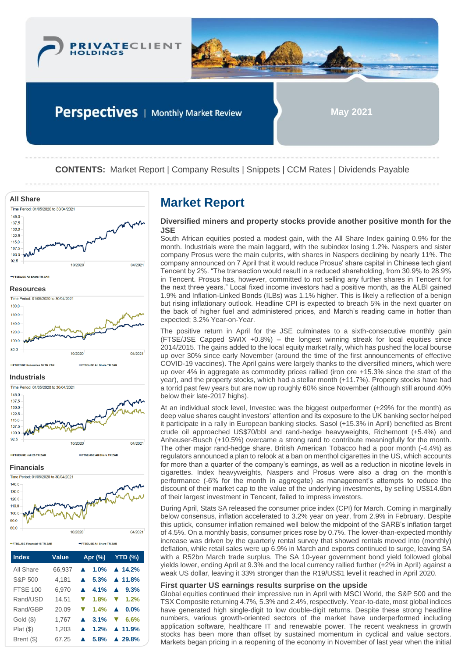

**CONTENTS:** Market Report | Company Results | Snippets | CCM Rates | Dividends Payable



Gold (\$) 1,767 **▲ 3.1% ▼ 6.6%** Plat (\$) 1,203 **▲ 1.2% ▲ 11.9%** Brent (\$) 67.25 **▲ 5.8% ▲ 29.8%**

## **Diversified miners and property stocks provide another positive month for the JSE**

South African equities posted a modest gain, with the All Share Index gaining 0.9% for the month. Industrials were the main laggard, with the subindex losing 1.2%. Naspers and sister company Prosus were the main culprits, with shares in Naspers declining by nearly 11%. The company announced on 7 April that it would reduce Prosus' share capital in Chinese tech giant Tencent by 2%. "The transaction would result in a reduced shareholding, from 30.9% to 28.9% in Tencent. Prosus has, however, committed to not selling any further shares in Tencent for the next three years." Local fixed income investors had a positive month, as the ALBI gained 1.9% and Inflation-Linked Bonds (ILBs) was 1.1% higher. This is likely a reflection of a benign but rising inflationary outlook. Headline CPI is expected to breach 5% in the next quarter on the back of higher fuel and administered prices, and March's reading came in hotter than expected; 3.2% Year-on-Year.

The positive return in April for the JSE culminates to a sixth-consecutive monthly gain (FTSE/JSE Capped SWIX +0.8%) – the longest winning streak for local equities since 2014/2015. The gains added to the local equity market rally, which has pushed the local bourse up over 30% since early November (around the time of the first announcements of effective COVID-19 vaccines). The April gains were largely thanks to the diversified miners, which were up over 4% in aggregate as commodity prices rallied (iron ore +15.3% since the start of the year), and the property stocks, which had a stellar month (+11.7%). Property stocks have had a torrid past few years but are now up roughly 60% since November (although still around 40% below their late-2017 highs).

At an individual stock level, Investec was the biggest outperformer (+29% for the month) as deep value shares caught investors' attention and its exposure to the UK banking sector helped it participate in a rally in European banking stocks. Sasol (+15.3% in April) benefited as Brent crude oil approached US\$70/bbl and rand-hedge heavyweights, Richemont (+5.4%) and Anheuser-Busch (+10.5%) overcame a strong rand to contribute meaningfully for the month. The other major rand-hedge share, British American Tobacco had a poor month (-4.4%) as regulators announced a plan to relook at a ban on menthol cigarettes in the US, which accounts for more than a quarter of the company's earnings, as well as a reduction in nicotine levels in cigarettes. Index heavyweights, Naspers and Prosus were also a drag on the month's performance (-6% for the month in aggregate) as management's attempts to reduce the discount of their market cap to the value of the underlying investments, by selling US\$14.6bn of their largest investment in Tencent, failed to impress investors.

During April, Stats SA released the consumer price index (CPI) for March. Coming in marginally below consensus, inflation accelerated to 3.2% year on year, from 2.9% in February. Despite this uptick, consumer inflation remained well below the midpoint of the SARB's inflation target of 4.5%. On a monthly basis, consumer prices rose by 0.7%. The lower-than-expected monthly increase was driven by the quarterly rental survey that showed rentals moved into (monthly) deflation, while retail sales were up 6.9% in March and exports continued to surge, leaving SA with a R52bn March trade surplus. The SA 10-year government bond yield followed global yields lower, ending April at 9.3% and the local currency rallied further (+2% in April) against a weak US dollar, leaving it 33% stronger than the R19/US\$1 level it reached in April 2020.

## **First quarter US earnings results surprise on the upside**

Global equities continued their impressive run in April with MSCI World, the S&P 500 and the TSX Composite returning 4.7%, 5.3% and 2.4%, respectively. Year-to-date, most global indices have generated high single-digit to low double-digit returns. Despite these strong headline numbers, various growth-oriented sectors of the market have underperformed including application software, healthcare IT and renewable power. The recent weakness in growth stocks has been more than offset by sustained momentum in cyclical and value sectors. Markets began pricing in a reopening of the economy in November of last year when the initial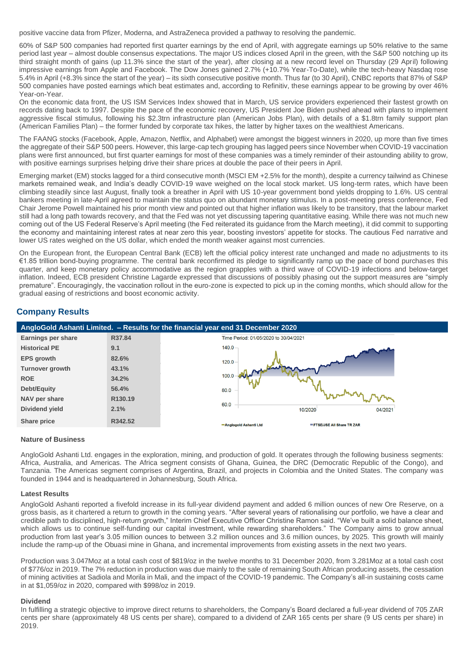positive vaccine data from Pfizer, Moderna, and AstraZeneca provided a pathway to resolving the pandemic.

60% of S&P 500 companies had reported first quarter earnings by the end of April, with aggregate earnings up 50% relative to the same period last year – almost double consensus expectations. The major US indices closed April in the green, with the S&P 500 notching up its third straight month of gains (up 11.3% since the start of the year), after closing at a new record level on Thursday (29 April) following impressive earnings from Apple and Facebook. The Dow Jones gained 2.7% (+10.7% Year-To-Date), while the tech-heavy Nasdaq rose 5.4% in April (+8.3% since the start of the year) – its sixth consecutive positive month. Thus far (to 30 April), CNBC reports that 87% of S&P 500 companies have posted earnings which beat estimates and, according to Refinitiv, these earnings appear to be growing by over 46% Year-on-Year.

On the economic data front, the US ISM Services Index showed that in March, US service providers experienced their fastest growth on records dating back to 1997. Despite the pace of the economic recovery, US President Joe Biden pushed ahead with plans to implement aggressive fiscal stimulus, following his \$2.3trn infrastructure plan (American Jobs Plan), with details of a \$1.8trn family support plan (American Families Plan) – the former funded by corporate tax hikes, the latter by higher taxes on the wealthiest Americans.

The FAANG stocks (Facebook, Apple, Amazon, Netflix, and Alphabet) were amongst the biggest winners in 2020, up more than five times the aggregate of their S&P 500 peers. However, this large-cap tech grouping has lagged peers since November when COVID-19 vaccination plans were first announced, but first quarter earnings for most of these companies was a timely reminder of their astounding ability to grow, with positive earnings surprises helping drive their share prices at double the pace of their peers in April.

Emerging market (EM) stocks lagged for a third consecutive month (MSCI EM +2.5% for the month), despite a currency tailwind as Chinese markets remained weak, and India's deadly COVID-19 wave weighed on the local stock market. US long-term rates, which have been climbing steadily since last August, finally took a breather in April with US 10-year government bond yields dropping to 1.6%. US central bankers meeting in late-April agreed to maintain the status quo on abundant monetary stimulus. In a post-meeting press conference, Fed Chair Jerome Powell maintained his prior month view and pointed out that higher inflation was likely to be transitory, that the labour market still had a long path towards recovery, and that the Fed was not yet discussing tapering quantitative easing. While there was not much new coming out of the US Federal Reserve's April meeting (the Fed reiterated its guidance from the March meeting), it did commit to supporting the economy and maintaining interest rates at near zero this year, boosting investors' appetite for stocks. The cautious Fed narrative and lower US rates weighed on the US dollar, which ended the month weaker against most currencies.

On the European front, the European Central Bank (ECB) left the official policy interest rate unchanged and made no adjustments to its €1.85 trillion bond-buying programme. The central bank reconfirmed its pledge to significantly ramp up the pace of bond purchases this quarter, and keep monetary policy accommodative as the region grapples with a third wave of COVID-19 infections and below-target inflation. Indeed, ECB president Christine Lagarde expressed that discussions of possibly phasing out the support measures are "simply premature". Encouragingly, the vaccination rollout in the euro-zone is expected to pick up in the coming months, which should allow for the gradual easing of restrictions and boost economic activity.

# **Company Results**



## **Nature of Business**

AngloGold Ashanti Ltd. engages in the exploration, mining, and production of gold. It operates through the following business segments: Africa, Australia, and Americas. The Africa segment consists of Ghana, Guinea, the DRC (Democratic Republic of the Congo), and Tanzania. The Americas segment comprises of Argentina, Brazil, and projects in Colombia and the United States. The company was founded in 1944 and is headquartered in Johannesburg, South Africa.

### **Latest Results**

AngloGold Ashanti reported a fivefold increase in its full-year dividend payment and added 6 million ounces of new Ore Reserve, on a gross basis, as it chartered a return to growth in the coming years. "After several years of rationalising our portfolio, we have a clear and credible path to disciplined, high-return growth," Interim Chief Executive Officer Christine Ramon said. "We've built a solid balance sheet, which allows us to continue self-funding our capital investment, while rewarding shareholders." The Company aims to grow annual production from last year's 3.05 million ounces to between 3.2 million ounces and 3.6 million ounces, by 2025. This growth will mainly include the ramp-up of the Obuasi mine in Ghana, and incremental improvements from existing assets in the next two years.

Production was 3.047Moz at a total cash cost of \$819/oz in the twelve months to 31 December 2020, from 3.281Moz at a total cash cost of \$776/oz in 2019. The 7% reduction in production was due mainly to the sale of remaining South African producing assets, the cessation of mining activities at Sadiola and Morila in Mali, and the impact of the COVID-19 pandemic. The Company's all-in sustaining costs came in at \$1,059/oz in 2020, compared with \$998/oz in 2019.

## **Dividend**

In fulfilling a strategic objective to improve direct returns to shareholders, the Company's Board declared a full-year dividend of 705 ZAR cents per share (approximately 48 US cents per share), compared to a dividend of ZAR 165 cents per share (9 US cents per share) in 2019.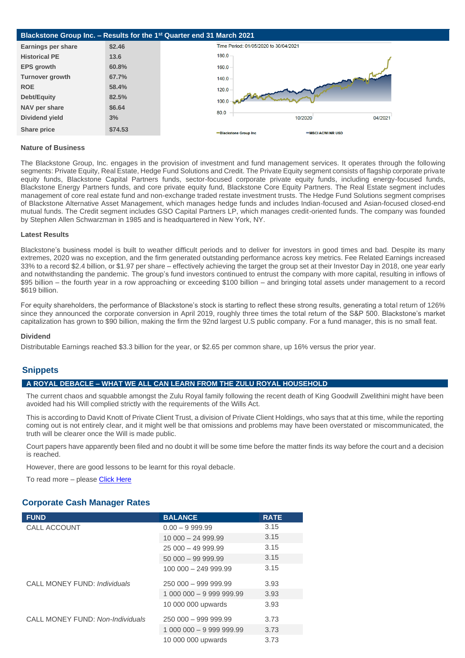

#### **Nature of Business**

The Blackstone Group, Inc. engages in the provision of investment and fund management services. It operates through the following segments: Private Equity, Real Estate, Hedge Fund Solutions and Credit. The Private Equity segment consists of flagship corporate private equity funds, Blackstone Capital Partners funds, sector-focused corporate private equity funds, including energy-focused funds, Blackstone Energy Partners funds, and core private equity fund, Blackstone Core Equity Partners. The Real Estate segment includes management of core real estate fund and non-exchange traded restate investment trusts. The Hedge Fund Solutions segment comprises of Blackstone Alternative Asset Management, which manages hedge funds and includes Indian-focused and Asian-focused closed-end mutual funds. The Credit segment includes GSO Capital Partners LP, which manages credit-oriented funds. The company was founded by Stephen Allen Schwarzman in 1985 and is headquartered in New York, NY.

#### **Latest Results**

Blackstone's business model is built to weather difficult periods and to deliver for investors in good times and bad. Despite its many extremes, 2020 was no exception, and the firm generated outstanding performance across key metrics. Fee Related Earnings increased 33% to a record \$2.4 billion, or \$1.97 per share – effectively achieving the target the group set at their Investor Day in 2018, one year early and notwithstanding the pandemic. The group's fund investors continued to entrust the company with more capital, resulting in inflows of \$95 billion – the fourth year in a row approaching or exceeding \$100 billion – and bringing total assets under management to a record \$619 billion.

For equity shareholders, the performance of Blackstone's stock is starting to reflect these strong results, generating a total return of 126% since they announced the corporate conversion in April 2019, roughly three times the total return of the S&P 500. Blackstone's market capitalization has grown to \$90 billion, making the firm the 92nd largest U.S public company. For a fund manager, this is no small feat.

#### **Dividend**

Distributable Earnings reached \$3.3 billion for the year, or \$2.65 per common share, up 16% versus the prior year.

## **Snippets**

### **A ROYAL DEBACLE – WHAT WE ALL CAN LEARN FROM THE ZULU ROYAL HOUSEHOLD**

The current chaos and squabble amongst the Zulu Royal family following the recent death of King Goodwill Zwelithini might have been avoided had his Will complied strictly with the requirements of the Wills Act.

This is according to David Knott of Private Client Trust, a division of Private Client Holdings, who says that at this time, while the reporting coming out is not entirely clear, and it might well be that omissions and problems may have been overstated or miscommunicated, the truth will be clearer once the Will is made public.

Court papers have apparently been filed and no doubt it will be some time before the matter finds its way before the court and a decision is reached.

However, there are good lessons to be learnt for this royal debacle.

To read more - please [Click Here](https://privateclientholdings.sharepoint.com/sites/Portfolios/Shared%20Documents/PCP/Newsletter/2021/May/Press%20Release%20-%20What%20we%20all%20can%20learn%20from%20the%20Zulu%20Royal%20Household%20-%20Final.pdf)

## **Corporate Cash Manager Rates**

| <b>FUND</b>                      | <b>BALANCE</b>           | <b>RATE</b> |
|----------------------------------|--------------------------|-------------|
| CALL ACCOUNT                     | $0.00 - 9999.99$         | 3.15        |
|                                  | $10000 - 24999.99$       | 3.15        |
|                                  | $25000 - 4999.99$        | 3.15        |
|                                  | $50000 - 99999.99$       | 3.15        |
|                                  | 100 000 - 249 999.99     | 3.15        |
| CALL MONEY FUND: Individuals     | $250000 - 999999.99$     | 3.93        |
|                                  | 1 000 000 - 9 999 999.99 | 3.93        |
|                                  | 10 000 000 upwards       | 3.93        |
| CALL MONEY FUND: Non-Individuals | $250000 - 999999.99$     | 3.73        |
|                                  | 1 000 000 - 9 999 999.99 | 3.73        |
|                                  | 10 000 000 upwards       | 3.73        |